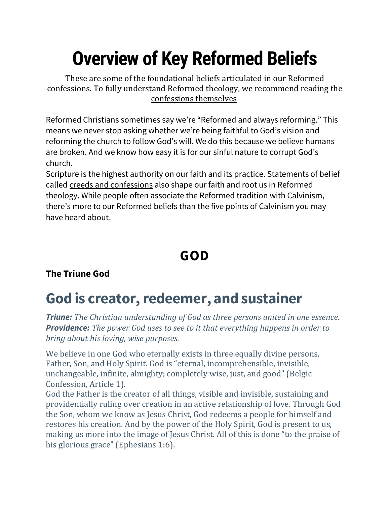# **Overview of Key Reformed Beliefs**

These are some of the foundational beliefs articulated in our Reformed confessions. To fully understand Reformed theology, we recommend [reading](http://www.rca.org/about/theology/creeds-and-confessions/) the [confessions](http://www.rca.org/about/theology/creeds-and-confessions/) themselves.

Reformed Christians sometimes say we're "Reformed and always reforming." This means we never stop asking whether we're being faithful to God's vision and reforming the church to follow God's will. We do this because we believe humans are broken. And we know how easy it is for our sinful nature to corrupt God's church.

Scripture is the highest authority on our faith and its practice. Statements of belief called creeds and [confessions](http://www.rca.org/about/theology/creeds-and-confessions/) also shape our faith and root us in Reformed theology. While people often associate the Reformed tradition with Calvinism, there's more to our Reformed beliefs than the five points of Calvinism you may have heard about.

## **GOD**

### **The Triune God**

## **God is creator, redeemer, and sustainer**

*Triune: The Christian understanding of God as three persons united in one essence. Providence: The power God uses to see to it that everything happens in order to bring about his loving, wise purposes.*

We believe in one God who eternally exists in three equally divine persons, Father, Son, and Holy Spirit. God is "eternal, incomprehensible, invisible, unchangeable, infinite, almighty; completely wise, just, and good" (Belgic Confession, Article 1).

God the Father is the creator of all things, visible and invisible, sustaining and providentially ruling over creation in an active relationship of love. Through God the Son, whom we know as Jesus Christ, God redeems a people for himself and restores his creation. And by the power of the Holy Spirit, God is present to us, making us more into the image of Jesus Christ. All of this is done "to the praise of his glorious grace" (Ephesians 1:6).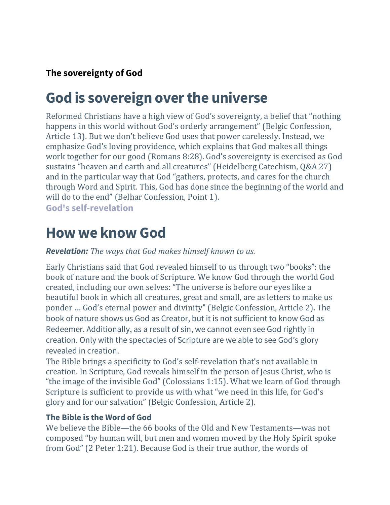### **The sovereignty of God**

## **God is sovereign over the universe**

Reformed Christians have a high view of God's sovereignty, a belief that "nothing happens in this world without God's orderly arrangement" (Belgic Confession, Article 13). But we don't believe God uses that power carelessly. Instead, we emphasize God's loving providence, which explains that God makes all things work together for our good (Romans 8:28). God's sovereignty is exercised as God sustains "heaven and earth and all creatures" (Heidelberg Catechism, Q&A 27) and in the particular way that God "gathers, protects, and cares for the church through Word and Spirit. This, God has done since the beginning of the world and will do to the end" (Belhar Confession, Point 1).

**God's self-revelation**

### **How we know God**

*Revelation: The ways that God makes himself known to us.*

Early Christians said that God revealed himself to us through two "books": the book of nature and the book of Scripture. We know God through the world God created, including our own selves: "The universe is before our eyes like a beautiful book in which all creatures, great and small, are as letters to make us ponder … God's eternal power and divinity" (Belgic Confession, Article 2). The book of nature shows us God as Creator, but it is not sufficient to know God as Redeemer. Additionally, as a result of sin, we cannot even see God rightly in creation. Only with the spectacles of Scripture are we able to see God's glory revealed in creation.

The Bible brings a specificity to God's self-revelation that's not available in creation. In Scripture, God reveals himself in the person of Jesus Christ, who is "the image of the invisible God" (Colossians 1:15). What we learn of God through Scripture is sufficient to provide us with what "we need in this life, for God's glory and for our salvation" (Belgic Confession, Article 2).

#### **The Bible is the Word of God**

We believe the Bible—the 66 books of the Old and New Testaments—was not composed "by human will, but men and women moved by the Holy Spirit spoke from God" (2 Peter 1:21). Because God is their true author, the words of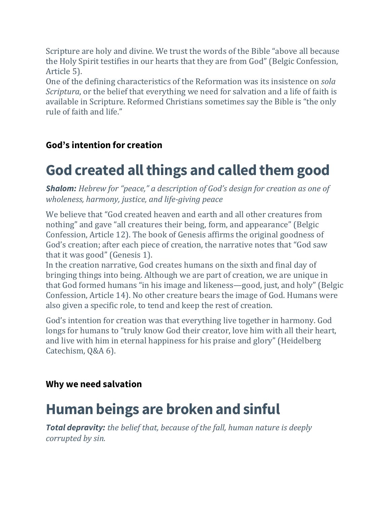Scripture are holy and divine. We trust the words of the Bible "above all because the Holy Spirit testifies in our hearts that they are from God" (Belgic Confession, Article 5).

One of the defining characteristics of the Reformation was its insistence on *sola Scriptura*, or the belief that everything we need for salvation and a life of faith is available in Scripture. Reformed Christians sometimes say the Bible is "the only rule of faith and life."

### **God's intention for creation**

## **God created all things and called them good**

*Shalom: Hebrew for "peace," a description of God's design for creation as one of wholeness, harmony, justice, and life-giving peace*

We believe that "God created heaven and earth and all other creatures from nothing" and gave "all creatures their being, form, and appearance" (Belgic Confession, Article 12). The book of Genesis affirms the original goodness of God's creation; after each piece of creation, the narrative notes that "God saw that it was good" (Genesis 1).

In the creation narrative, God creates humans on the sixth and final day of bringing things into being. Although we are part of creation, we are unique in that God formed humans "in his image and likeness—good, just, and holy" (Belgic Confession, Article 14). No other creature bears the image of God. Humans were also given a specific role, to tend and keep the rest of creation.

God's intention for creation was that everything live together in harmony. God longs for humans to "truly know God their creator, love him with all their heart, and live with him in eternal happiness for his praise and glory" (Heidelberg Catechism, Q&A 6).

#### **Why we need salvation**

## **Human beings are broken and sinful**

*Total depravity: the belief that, because of the fall, human nature is deeply corrupted by sin.*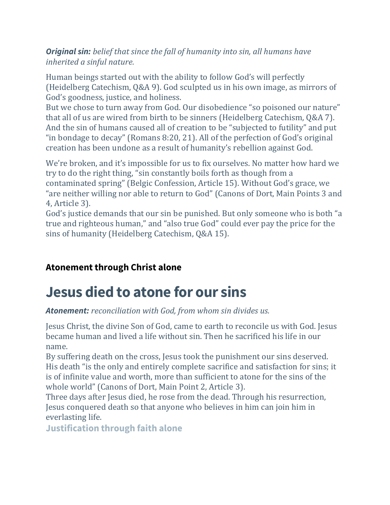*Original sin: belief that since the fall of humanity into sin, all humans have inherited a sinful nature.*

Human beings started out with the ability to follow God's will perfectly (Heidelberg Catechism, Q&A 9). God sculpted us in his own image, as mirrors of God's goodness, justice, and holiness.

But we chose to turn away from God. Our disobedience "so poisoned our nature" that all of us are wired from birth to be sinners (Heidelberg Catechism, Q&A 7). And the sin of humans caused all of creation to be "subjected to futility" and put "in bondage to decay" (Romans 8:20, 21). All of the perfection of God's original creation has been undone as a result of humanity's rebellion against God.

We're broken, and it's impossible for us to fix ourselves. No matter how hard we try to do the right thing, "sin constantly boils forth as though from a contaminated spring" (Belgic Confession, Article 15). Without God's grace, we "are neither willing nor able to return to God" (Canons of Dort, Main Points 3 and 4, Article 3).

God's justice demands that our sin be punished. But only someone who is both "a true and righteous human," and "also true God" could ever pay the price for the sins of humanity (Heidelberg Catechism, Q&A 15).

### **Atonement through Christ alone**

## **Jesus died to atone for our sins**

*Atonement: reconciliation with God, from whom sin divides us.*

Jesus Christ, the divine Son of God, came to earth to reconcile us with God. Jesus became human and lived a life without sin. Then he sacrificed his life in our name.

By suffering death on the cross, Jesus took the punishment our sins deserved. His death "is the only and entirely complete sacrifice and satisfaction for sins; it is of infinite value and worth, more than sufficient to atone for the sins of the whole world" (Canons of Dort, Main Point 2, Article 3).

Three days after Jesus died, he rose from the dead. Through his resurrection, Jesus conquered death so that anyone who believes in him can join him in everlasting life.

**Justification through faith alone**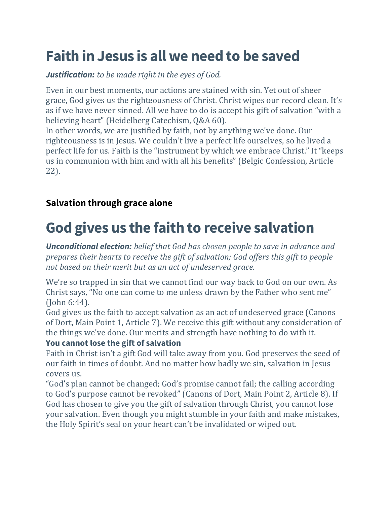## **Faith in Jesus is all we need to be saved**

*Justification: to be made right in the eyes of God.*

Even in our best moments, our actions are stained with sin. Yet out of sheer grace, God gives us the righteousness of Christ. Christ wipes our record clean. It's as if we have never sinned. All we have to do is accept his gift of salvation "with a believing heart" (Heidelberg Catechism, Q&A 60).

In other words, we are justified by faith, not by anything we've done. Our righteousness is in Jesus. We couldn't live a perfect life ourselves, so he lived a perfect life for us. Faith is the "instrument by which we embrace Christ." It "keeps us in communion with him and with all his benefits" (Belgic Confession, Article 22).

### **Salvation through grace alone**

## **God gives us the faith to receive salvation**

*Unconditional election: belief that God has chosen people to save in advance and prepares their hearts to receive the gift of salvation; God offers this gift to people not based on their merit but as an act of undeserved grace.*

We're so trapped in sin that we cannot find our way back to God on our own. As Christ says, "No one can come to me unless drawn by the Father who sent me" (John 6:44).

God gives us the faith to accept salvation as an act of undeserved grace (Canons of Dort, Main Point 1, Article 7). We receive this gift without any consideration of the things we've done. Our merits and strength have nothing to do with it.

#### **You cannot lose the gift of salvation**

Faith in Christ isn't a gift God will take away from you. God preserves the seed of our faith in times of doubt. And no matter how badly we sin, salvation in Jesus covers us.

"God's plan cannot be changed; God's promise cannot fail; the calling according to God's purpose cannot be revoked" (Canons of Dort, Main Point 2, Article 8). If God has chosen to give you the gift of salvation through Christ, you cannot lose your salvation. Even though you might stumble in your faith and make mistakes, the Holy Spirit's seal on your heart can't be invalidated or wiped out.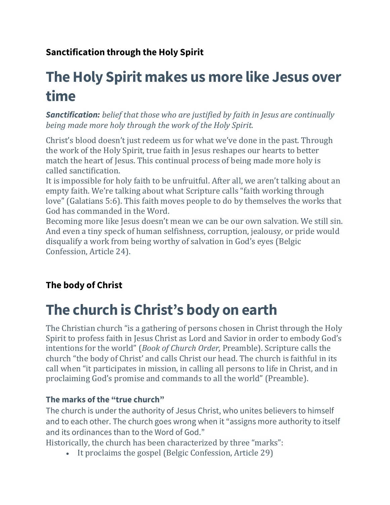### **Sanctification through the Holy Spirit**

## **The Holy Spirit makes us more like Jesus over time**

*Sanctification: belief that those who are justified by faith in Jesus are continually being made more holy through the work of the Holy Spirit.*

Christ's blood doesn't just redeem us for what we've done in the past. Through the work of the Holy Spirit, true faith in Jesus reshapes our hearts to better match the heart of Jesus. This continual process of being made more holy is called sanctification.

It is impossible for holy faith to be unfruitful. After all, we aren't talking about an empty faith. We're talking about what Scripture calls "faith working through love" (Galatians 5:6). This faith moves people to do by themselves the works that God has commanded in the Word.

Becoming more like Jesus doesn't mean we can be our own salvation. We still sin. And even a tiny speck of human selfishness, corruption, jealousy, or pride would disqualify a work from being worthy of salvation in God's eyes (Belgic Confession, Article 24).

### **The body of Christ**

## **The church is Christ's body on earth**

The Christian church "is a gathering of persons chosen in Christ through the Holy Spirit to profess faith in Jesus Christ as Lord and Savior in order to embody God's intentions for the world" (*Book of Church Order,* Preamble). Scripture calls the church "the body of Christ' and calls Christ our head. The church is faithful in its call when "it participates in mission, in calling all persons to life in Christ, and in proclaiming God's promise and commands to all the world" (Preamble).

#### **The marks of the "true church"**

The church is under the authority of Jesus Christ, who unites believers to himself and to each other. The church goes wrong when it "assigns more authority to itself and its ordinances than to the Word of God."

Historically, the church has been characterized by three "marks":

• It proclaims the gospel (Belgic Confession, Article 29)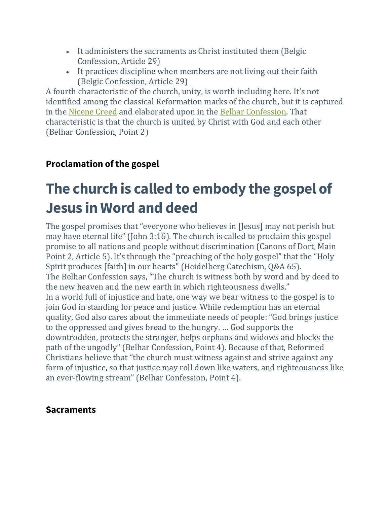- It administers the sacraments as Christ instituted them (Belgic Confession, Article 29)
- It practices discipline when members are not living out their faith (Belgic Confession, Article 29)

A fourth characteristic of the church, unity, is worth including here. It's not identified among the classical Reformation marks of the church, but it is captured in the [Nicene](http://www.rca.org/about/theology/creeds-and-confessions/the-nicene-creed/) Creed and elaborated upon in the Belhar [Confession.](http://www.rca.org/about/theology/creeds-and-confessions/the-belhar-confession/) That characteristic is that the church is united by Christ with God and each other (Belhar Confession, Point 2)

### **Proclamation of the gospel**

## **The church is called to embody the gospel of Jesus in Word and deed**

The gospel promises that "everyone who believes in [Jesus] may not perish but may have eternal life" (John 3:16). The church is called to proclaim this gospel promise to all nations and people without discrimination (Canons of Dort, Main Point 2, Article 5). It's through the "preaching of the holy gospel" that the "Holy Spirit produces [faith] in our hearts" (Heidelberg Catechism, Q&A 65). The Belhar Confession says, "The church is witness both by word and by deed to the new heaven and the new earth in which righteousness dwells." In a world full of injustice and hate, one way we bear witness to the gospel is to join God in standing for peace and justice. While redemption has an eternal quality, God also cares about the immediate needs of people: "God brings justice to the oppressed and gives bread to the hungry. … God supports the downtrodden, protects the stranger, helps orphans and widows and blocks the path of the ungodly" (Belhar Confession, Point 4). Because of that, Reformed Christians believe that "the church must witness against and strive against any form of injustice, so that justice may roll down like waters, and righteousness like an ever-flowing stream" (Belhar Confession, Point 4).

#### **Sacraments**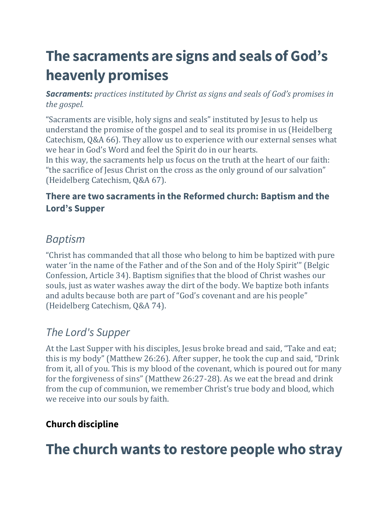## **The sacraments are signs and seals of God's heavenly promises**

*Sacraments: practices instituted by Christ as signs and seals of God's promises in the gospel.*

"Sacraments are visible, holy signs and seals" instituted by Jesus to help us understand the promise of the gospel and to seal its promise in us (Heidelberg Catechism, Q&A 66). They allow us to experience with our external senses what we hear in God's Word and feel the Spirit do in our hearts.

In this way, the sacraments help us focus on the truth at the heart of our faith: "the sacrifice of Jesus Christ on the cross as the only ground of our salvation" (Heidelberg Catechism, Q&A 67).

### **There are two sacraments in the Reformed church: Baptism and the Lord's Supper**

### *Baptism*

"Christ has commanded that all those who belong to him be baptized with pure water 'in the name of the Father and of the Son and of the Holy Spirit'" (Belgic Confession, Article 34). Baptism signifies that the blood of Christ washes our souls, just as water washes away the dirt of the body. We baptize both infants and adults because both are part of "God's covenant and are his people" (Heidelberg Catechism, Q&A 74).

### *The Lord's Supper*

At the Last Supper with his disciples, Jesus broke bread and said, "Take and eat; this is my body" (Matthew 26:26). After supper, he took the cup and said, "Drink from it, all of you. This is my blood of the covenant, which is poured out for many for the forgiveness of sins" (Matthew 26:27-28). As we eat the bread and drink from the cup of communion, we remember Christ's true body and blood, which we receive into our souls by faith.

### **Church discipline**

### **The church wants to restore people who stray**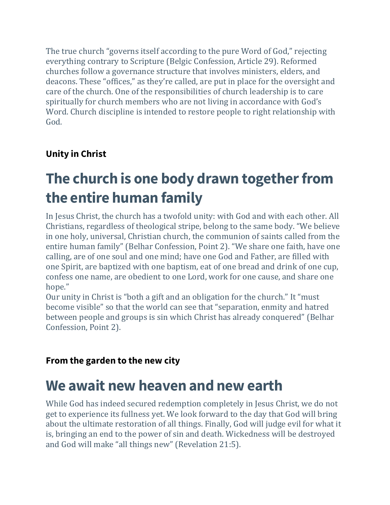The true church "governs itself according to the pure Word of God," rejecting everything contrary to Scripture (Belgic Confession, Article 29). Reformed churches follow a governance structure that involves ministers, elders, and deacons. These "offices," as they're called, are put in place for the oversight and care of the church. One of the responsibilities of church leadership is to care spiritually for church members who are not living in accordance with God's Word. Church discipline is intended to restore people to right relationship with God.

### **Unity in Christ**

## **The church is one body drawn together from the entire human family**

In Jesus Christ, the church has a twofold unity: with God and with each other. All Christians, regardless of theological stripe, belong to the same body. "We believe in one holy, universal, Christian church, the communion of saints called from the entire human family" (Belhar Confession, Point 2). "We share one faith, have one calling, are of one soul and one mind; have one God and Father, are filled with one Spirit, are baptized with one baptism, eat of one bread and drink of one cup, confess one name, are obedient to one Lord, work for one cause, and share one hope."

Our unity in Christ is "both a gift and an obligation for the church." It "must become visible" so that the world can see that "separation, enmity and hatred between people and groups is sin which Christ has already conquered" (Belhar Confession, Point 2).

### **From the garden to the new city**

### **We await new heaven and new earth**

While God has indeed secured redemption completely in Jesus Christ, we do not get to experience its fullness yet. We look forward to the day that God will bring about the ultimate restoration of all things. Finally, God will judge evil for what it is, bringing an end to the power of sin and death. Wickedness will be destroyed and God will make "all things new" (Revelation 21:5).